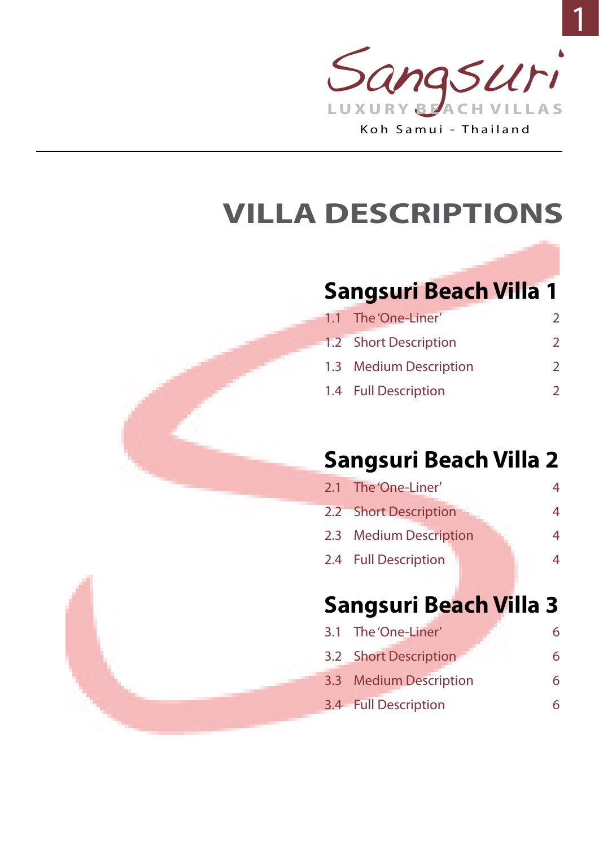

# **VILLA DESCRIPTIONS**

## **[Sangsuri Beach Villa 1](#page-1-0)**

| 1.1 The 'One-Liner'    |               |
|------------------------|---------------|
| 1.2 Short Description  |               |
| 1.3 Medium Description | $\mathcal{P}$ |
| 1.4 Full Description   |               |

## **[Sangsuri Beach Villa 2](#page-3-0)**

| 2.1 The 'One-Liner'    | 4 |
|------------------------|---|
| 2.2 Short Description  | 4 |
| 2.3 Medium Description | 4 |
| 2.4 Full Description   | 4 |
|                        |   |

## **[Sangsuri Beach Villa 3](#page-5-0)**

| 3.1 The 'One-Liner'    | 6 |
|------------------------|---|
| 3.2 Short Description  | 6 |
| 3.3 Medium Description | 6 |
| 3.4 Full Description   | 6 |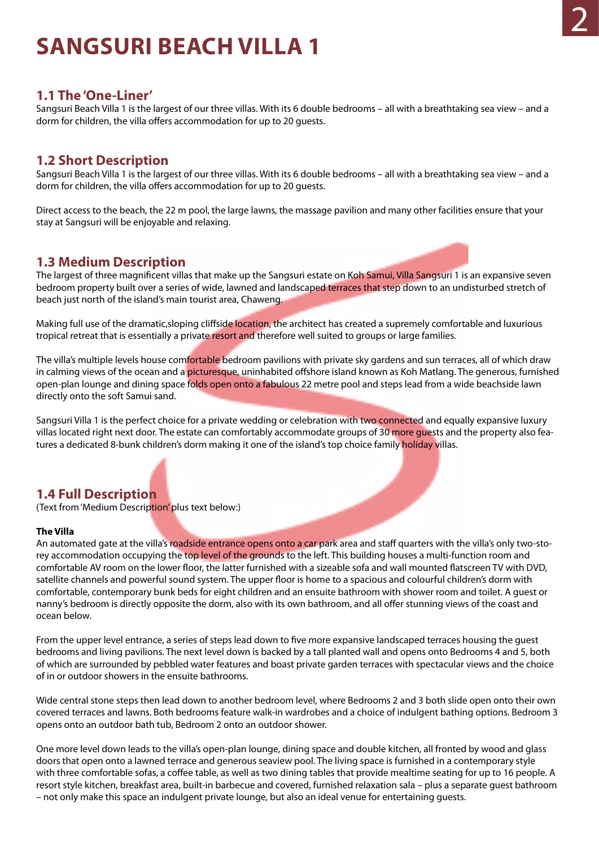## <span id="page-1-0"></span>**SANGSURI BEACH VILLA 1**

#### **1.1 The 'One-Liner'**

Sangsuri Beach Villa 1 is the largest of our three villas. With its 6 double bedrooms – all with a breathtaking sea view – and a dorm for children, the villa offers accommodation for up to 20 guests.

### **1.2 Short Description**

Sangsuri Beach Villa 1 is the largest of our three villas. With its 6 double bedrooms – all with a breathtaking sea view – and a dorm for children, the villa offers accommodation for up to 20 guests.

Direct access to the beach, the 22 m pool, the large lawns, the massage pavilion and many other facilities ensure that your stay at Sangsuri will be enjoyable and relaxing.

### **1.3 Medium Description**

The largest of three magnificent villas that make up the Sangsuri estate on Koh Samui, Villa Sangsuri 1 is an expansive seven bedroom property built over a series of wide, lawned and landscaped terraces that step down to an undisturbed stretch of beach just north of the island's main tourist area, Chaweng.

Making full use of the dramatic, sloping cliffside location, the architect has created a supremely comfortable and luxurious tropical retreat that is essentially a private resort and therefore well suited to groups or large families.

The villa's multiple levels house comfortable bedroom pavilions with private sky gardens and sun terraces, all of which draw in calming views of the ocean and a picturesque, uninhabited offshore island known as Koh Matlang. The generous, furnished open-plan lounge and dining space folds open onto a fabulous 22 metre pool and steps lead from a wide beachside lawn directly onto the soft Samui sand.

Sangsuri Villa 1 is the perfect choice for a private wedding or celebration with two connected and equally expansive luxury villas located right next door. The estate can comfortably accommodate groups of 30 more guests and the property also features a dedicated 8-bunk children's dorm making it one of the island's top choice family holiday villas.

### **1.4 Full Description**

(Text from 'Medium Description' plus text below:)

#### **The Villa**

An automated gate at the villa's roadside entrance opens onto a car park area and staff quarters with the villa's only two-storey accommodation occupying the top level of the grounds to the left. This building houses a multi-function room and comfortable AV room on the lower floor, the latter furnished with a sizeable sofa and wall mounted flatscreen TV with DVD, satellite channels and powerful sound system. The upper floor is home to a spacious and colourful children's dorm with comfortable, contemporary bunk beds for eight children and an ensuite bathroom with shower room and toilet. A guest or nanny's bedroom is directly opposite the dorm, also with its own bathroom, and all offer stunning views of the coast and ocean below.

From the upper level entrance, a series of steps lead down to five more expansive landscaped terraces housing the guest bedrooms and living pavilions. The next level down is backed by a tall planted wall and opens onto Bedrooms 4 and 5, both of which are surrounded by pebbled water features and boast private garden terraces with spectacular views and the choice of in or outdoor showers in the ensuite bathrooms.

Wide central stone steps then lead down to another bedroom level, where Bedrooms 2 and 3 both slide open onto their own covered terraces and lawns. Both bedrooms feature walk-in wardrobes and a choice of indulgent bathing options. Bedroom 3 opens onto an outdoor bath tub, Bedroom 2 onto an outdoor shower.

One more level down leads to the villa's open-plan lounge, dining space and double kitchen, all fronted by wood and glass doors that open onto a lawned terrace and generous seaview pool. The living space is furnished in a contemporary style with three comfortable sofas, a coffee table, as well as two dining tables that provide mealtime seating for up to 16 people. A resort style kitchen, breakfast area, built-in barbecue and covered, furnished relaxation sala – plus a separate guest bathroom – not only make this space an indulgent private lounge, but also an ideal venue for entertaining guests.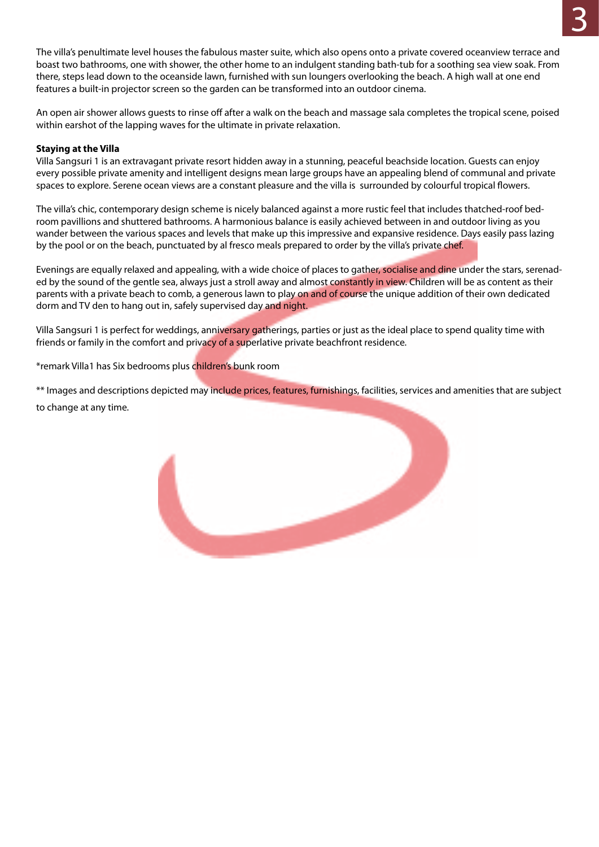The villa's penultimate level houses the fabulous master suite, which also opens onto a private covered oceanview terrace and boast two bathrooms, one with shower, the other home to an indulgent standing bath-tub for a soothing sea view soak. From there, steps lead down to the oceanside lawn, furnished with sun loungers overlooking the beach. A high wall at one end features a built-in projector screen so the garden can be transformed into an outdoor cinema.

An open air shower allows guests to rinse off after a walk on the beach and massage sala completes the tropical scene, poised within earshot of the lapping waves for the ultimate in private relaxation.

#### **Staying at the Villa**

Villa Sangsuri 1 is an extravagant private resort hidden away in a stunning, peaceful beachside location. Guests can enjoy every possible private amenity and intelligent designs mean large groups have an appealing blend of communal and private spaces to explore. Serene ocean views are a constant pleasure and the villa is surrounded by colourful tropical flowers.

The villa's chic, contemporary design scheme is nicely balanced against a more rustic feel that includes thatched-roof bedroom pavillions and shuttered bathrooms. A harmonious balance is easily achieved between in and outdoor living as you wander between the various spaces and levels that make up this impressive and expansive residence. Days easily pass lazing by the pool or on the beach, punctuated by al fresco meals prepared to order by the villa's private chef.

Evenings are equally relaxed and appealing, with a wide choice of places to gather, socialise and dine under the stars, serenaded by the sound of the gentle sea, always just a stroll away and almost constantly in view. Children will be as content as their parents with a private beach to comb, a generous lawn to play on and of course the unique addition of their own dedicated dorm and TV den to hang out in, safely supervised day and night.

Villa Sangsuri 1 is perfect for weddings, anniversary gatherings, parties or just as the ideal place to spend quality time with friends or family in the comfort and privacy of a superlative private beachfront residence.

\*remark Villa1 has Six bedrooms plus children's bunk room

\*\* Images and descriptions depicted may include prices, features, furnishings, facilities, services and amenities that are subject to change at any time.

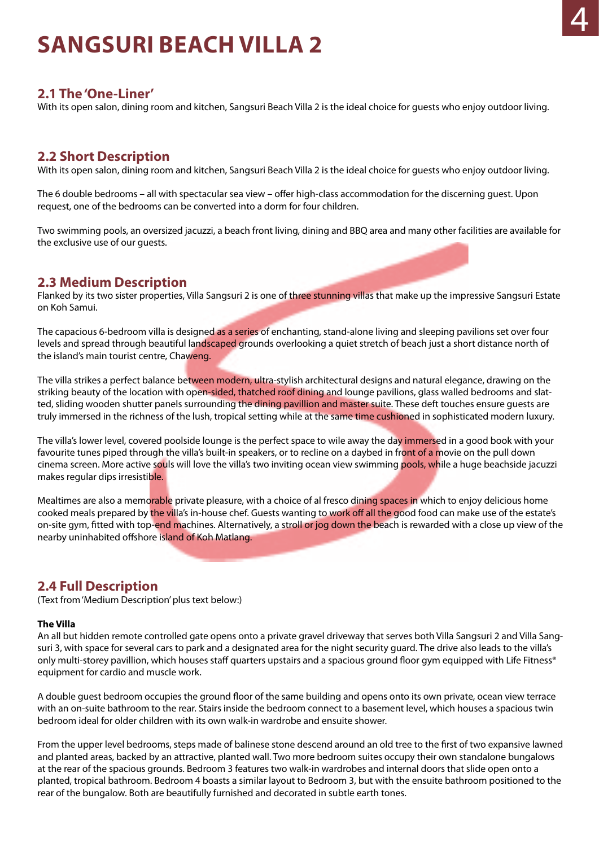## <span id="page-3-0"></span>**SANGSURI BEACH VILLA 2**

#### **2.1 The 'One-Liner'**

With its open salon, dining room and kitchen, Sangsuri Beach Villa 2 is the ideal choice for guests who enjoy outdoor living.

#### **2.2 Short Description**

With its open salon, dining room and kitchen, Sangsuri Beach Villa 2 is the ideal choice for guests who enjoy outdoor living.

The 6 double bedrooms – all with spectacular sea view – offer high-class accommodation for the discerning guest. Upon request, one of the bedrooms can be converted into a dorm for four children.

Two swimming pools, an oversized jacuzzi, a beach front living, dining and BBQ area and many other facilities are available for the exclusive use of our guests.

#### **2.3 Medium Description**

Flanked by its two sister properties, Villa Sangsuri 2 is one of three stunning villas that make up the impressive Sangsuri Estate on Koh Samui.

The capacious 6-bedroom villa is designed as a series of enchanting, stand-alone living and sleeping pavilions set over four levels and spread through beautiful landscaped grounds overlooking a quiet stretch of beach just a short distance north of the island's main tourist centre, Chaweng.

The villa strikes a perfect balance between modern, ultra-stylish architectural designs and natural elegance, drawing on the striking beauty of the location with open-sided, thatched roof dining and lounge pavilions, glass walled bedrooms and slatted, sliding wooden shutter panels surrounding the dining pavillion and master suite. These deft touches ensure quests are truly immersed in the richness of the lush, tropical setting while at the same time cushioned in sophisticated modern luxury.

The villa's lower level, covered poolside lounge is the perfect space to wile away the day immersed in a good book with your favourite tunes piped through the villa's built-in speakers, or to recline on a daybed in front of a movie on the pull down cinema screen. More active souls will love the villa's two inviting ocean view swimming pools, while a huge beachside jacuzzi makes regular dips irresistible.

Mealtimes are also a memorable private pleasure, with a choice of al fresco dining spaces in which to enjoy delicious home cooked meals prepared by the villa's in-house chef. Guests wanting to work off all the good food can make use of the estate's on-site gym, fitted with top-end machines. Alternatively, a stroll or jog down the beach is rewarded with a close up view of the nearby uninhabited offshore island of Koh Matlang.

### **2.4 Full Description**

(Text from 'Medium Description' plus text below:)

#### **The Villa**

An all but hidden remote controlled gate opens onto a private gravel driveway that serves both Villa Sangsuri 2 and Villa Sangsuri 3, with space for several cars to park and a designated area for the night security guard. The drive also leads to the villa's only multi-storey pavillion, which houses staff quarters upstairs and a spacious ground floor gym equipped with Life Fitness® equipment for cardio and muscle work.

A double guest bedroom occupies the ground floor of the same building and opens onto its own private, ocean view terrace with an on-suite bathroom to the rear. Stairs inside the bedroom connect to a basement level, which houses a spacious twin bedroom ideal for older children with its own walk-in wardrobe and ensuite shower.

From the upper level bedrooms, steps made of balinese stone descend around an old tree to the first of two expansive lawned and planted areas, backed by an attractive, planted wall. Two more bedroom suites occupy their own standalone bungalows at the rear of the spacious grounds. Bedroom 3 features two walk-in wardrobes and internal doors that slide open onto a planted, tropical bathroom. Bedroom 4 boasts a similar layout to Bedroom 3, but with the ensuite bathroom positioned to the rear of the bungalow. Both are beautifully furnished and decorated in subtle earth tones.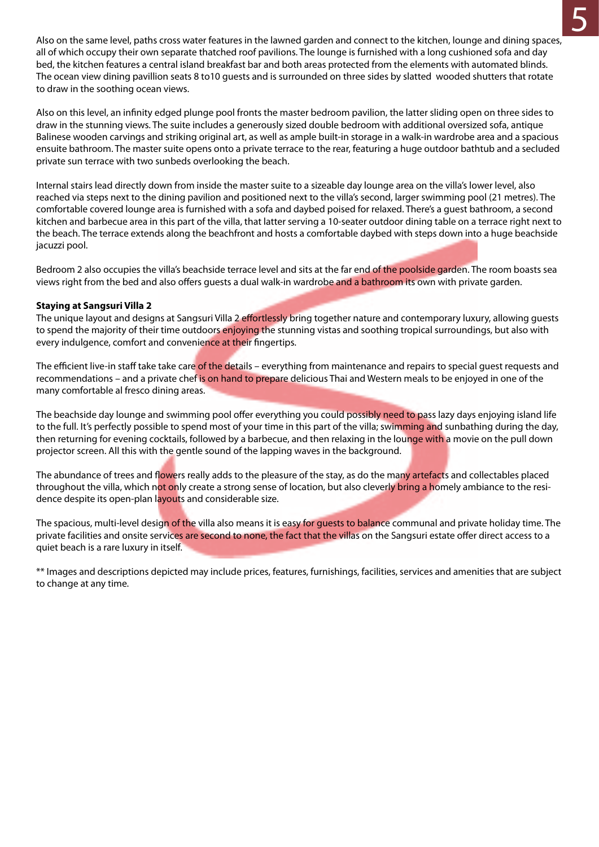4 5 Also on the same level, paths cross water features in the lawned garden and connect to the kitchen, lounge and dining spaces, all of which occupy their own separate thatched roof pavilions. The lounge is furnished with a long cushioned sofa and day bed, the kitchen features a central island breakfast bar and both areas protected from the elements with automated blinds. The ocean view dining pavillion seats 8 to10 guests and is surrounded on three sides by slatted wooded shutters that rotate to draw in the soothing ocean views.

> Also on this level, an infinity edged plunge pool fronts the master bedroom pavilion, the latter sliding open on three sides to draw in the stunning views. The suite includes a generously sized double bedroom with additional oversized sofa, antique Balinese wooden carvings and striking original art, as well as ample built-in storage in a walk-in wardrobe area and a spacious ensuite bathroom. The master suite opens onto a private terrace to the rear, featuring a huge outdoor bathtub and a secluded private sun terrace with two sunbeds overlooking the beach.

> Internal stairs lead directly down from inside the master suite to a sizeable day lounge area on the villa's lower level, also reached via steps next to the dining pavilion and positioned next to the villa's second, larger swimming pool (21 metres). The comfortable covered lounge area is furnished with a sofa and daybed poised for relaxed. There's a guest bathroom, a second kitchen and barbecue area in this part of the villa, that latter serving a 10-seater outdoor dining table on a terrace right next to the beach. The terrace extends along the beachfront and hosts a comfortable daybed with steps down into a huge beachside jacuzzi pool.

> Bedroom 2 also occupies the villa's beachside terrace level and sits at the far end of the poolside garden. The room boasts sea views right from the bed and also offers guests a dual walk-in wardrobe and a bathroom its own with private garden.

#### **Staying at Sangsuri Villa 2**

The unique layout and designs at Sangsuri Villa 2 effortlessly bring together nature and contemporary luxury, allowing quests to spend the majority of their time outdoors enjoying the stunning vistas and soothing tropical surroundings, but also with every indulgence, comfort and convenience at their fingertips.

The efficient live-in staff take take care of the details – everything from maintenance and repairs to special quest requests and recommendations – and a private chef is on hand to prepare delicious Thai and Western meals to be enjoyed in one of the many comfortable al fresco dining areas.

The beachside day lounge and swimming pool offer everything you could possibly need to pass lazy days enjoying island life to the full. It's perfectly possible to spend most of your time in this part of the villa; swimming and sunbathing during the day, then returning for evening cocktails, followed by a barbecue, and then relaxing in the lounge with a movie on the pull down projector screen. All this with the gentle sound of the lapping waves in the background.

The abundance of trees and flowers really adds to the pleasure of the stay, as do the many artefacts and collectables placed throughout the villa, which not only create a strong sense of location, but also cleverly bring a homely ambiance to the residence despite its open-plan layouts and considerable size.

The spacious, multi-level design of the villa also means it is easy for quests to balance communal and private holiday time. The private facilities and onsite services are second to none, the fact that the villas on the Sangsuri estate offer direct access to a quiet beach is a rare luxury in itself.

\*\* Images and descriptions depicted may include prices, features, furnishings, facilities, services and amenities that are subject to change at any time.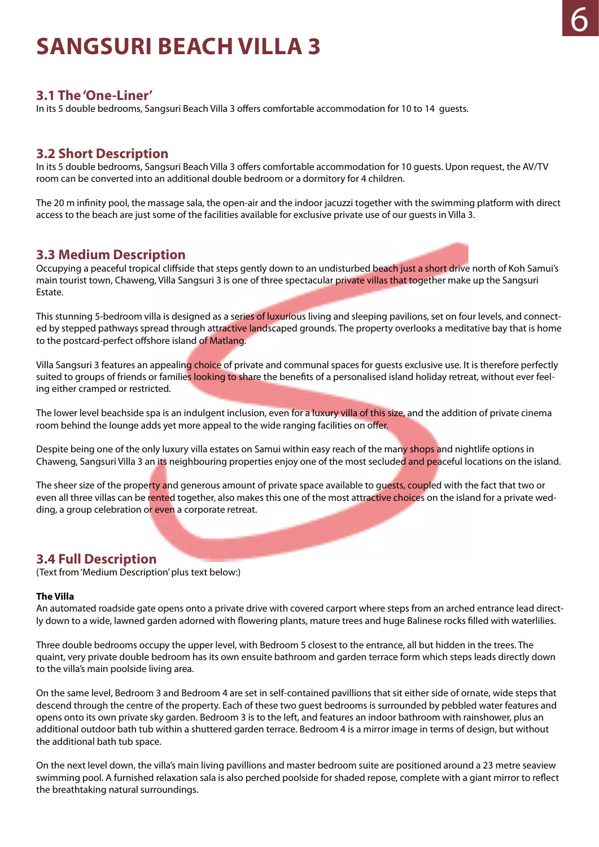## <span id="page-5-0"></span>**SANGSURI BEACH VILLA 3**

#### **3.1 The 'One-Liner'**

In its 5 double bedrooms, Sangsuri Beach Villa 3 offers comfortable accommodation for 10 to 14 guests.

### **3.2 Short Description**

In its 5 double bedrooms, Sangsuri Beach Villa 3 offers comfortable accommodation for 10 guests. Upon request, the AV/TV room can be converted into an additional double bedroom or a dormitory for 4 children.

The 20 m infinity pool, the massage sala, the open-air and the indoor jacuzzi together with the swimming platform with direct access to the beach are just some of the facilities available for exclusive private use of our guests in Villa 3.

#### **3.3 Medium Description**

Occupying a peaceful tropical cliffside that steps gently down to an undisturbed beach just a short drive north of Koh Samui's main tourist town, Chaweng, Villa Sangsuri 3 is one of three spectacular private villas that together make up the Sangsuri Estate.

This stunning 5-bedroom villa is designed as a series of luxurious living and sleeping pavilions, set on four levels, and connected by stepped pathways spread through attractive landscaped grounds. The property overlooks a meditative bay that is home to the postcard-perfect offshore island of Matlang.

Villa Sangsuri 3 features an appealing choice of private and communal spaces for guests exclusive use. It is therefore perfectly suited to groups of friends or families looking to share the benefits of a personalised island holiday retreat, without ever feeling either cramped or restricted.

The lower level beachside spa is an indulgent inclusion, even for a luxury villa of this size, and the addition of private cinema room behind the lounge adds yet more appeal to the wide ranging facilities on offer.

Despite being one of the only luxury villa estates on Samui within easy reach of the many shops and nightlife options in Chaweng, Sangsuri Villa 3 an its neighbouring properties enjoy one of the most secluded and peaceful locations on the island.

The sheer size of the property and generous amount of private space available to quests, coupled with the fact that two or even all three villas can be rented together, also makes this one of the most attractive choices on the island for a private wedding, a group celebration or even a corporate retreat.

### **3.4 Full Description**

(Text from 'Medium Description' plus text below:)

#### **The Villa**

An automated roadside gate opens onto a private drive with covered carport where steps from an arched entrance lead directly down to a wide, lawned garden adorned with flowering plants, mature trees and huge Balinese rocks filled with waterlilies.

Three double bedrooms occupy the upper level, with Bedroom 5 closest to the entrance, all but hidden in the trees. The quaint, very private double bedroom has its own ensuite bathroom and garden terrace form which steps leads directly down to the villa's main poolside living area.

On the same level, Bedroom 3 and Bedroom 4 are set in self-contained pavillions that sit either side of ornate, wide steps that descend through the centre of the property. Each of these two guest bedrooms is surrounded by pebbled water features and opens onto its own private sky garden. Bedroom 3 is to the left, and features an indoor bathroom with rainshower, plus an additional outdoor bath tub within a shuttered garden terrace. Bedroom 4 is a mirror image in terms of design, but without the additional bath tub space.

On the next level down, the villa's main living pavillions and master bedroom suite are positioned around a 23 metre seaview swimming pool. A furnished relaxation sala is also perched poolside for shaded repose, complete with a giant mirror to reflect the breathtaking natural surroundings.